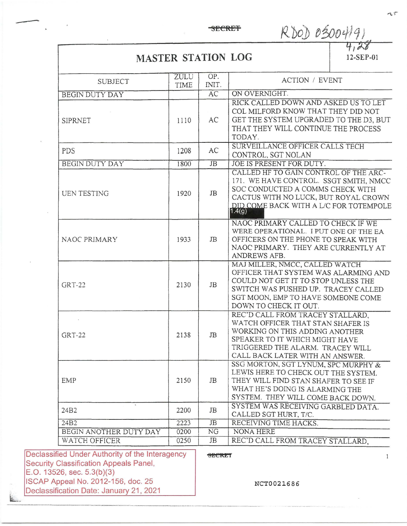## **SECRET**

 $Rb0b0500419$  $Rb0D05004191$ 

## **MASTER STATION LOG**

| <b>SUBJECT</b>         | ZULU<br>TIME | OP.<br>INIT.    | <b>ACTION / EVENT</b>                                                                                                                                                                                               |
|------------------------|--------------|-----------------|---------------------------------------------------------------------------------------------------------------------------------------------------------------------------------------------------------------------|
| <b>BEGIN DUTY DAY</b>  |              | $\overline{AC}$ | ON OVERNIGHT.                                                                                                                                                                                                       |
| SIPRNET                | 1110         | AC              | RICK CALLED DOWN AND ASKED US TO LET<br>COL MILFORD KNOW THAT THEY DID NOT<br>GET THE SYSTEM UPGRADED TO THE D3, BUT<br>THAT THEY WILL CONTINUE THE PROCESS<br>TODAY.                                               |
| <b>PDS</b>             | 1208         | AC              | SURVEILLANCE OFFICER CALLS TECH<br>CONTROL, SGT NOLAN                                                                                                                                                               |
| <b>BEGIN DUTY DAY</b>  | 1800         | <b>JB</b>       | JOE IS PRESENT FOR DUTY.                                                                                                                                                                                            |
| <b>UEN TESTING</b>     | 1920         | JB              | CALLED HF TO GAIN CONTROL OF THE ARC-<br>171. WE HAVE CONTROL. SSGT SMITH, NMCC<br>SOC CONDUCTED A COMMS CHECK WITH<br>CACTUS WITH NO LUCK, BUT ROYAL CROWN<br>DID COME BACK WITH A L/C FOR TOTEMPOLE<br>1.4(g)     |
| NAOC PRIMARY           | 1933         | JB              | NAOC PRIMARY CALLED TO CHECK IF WE<br>WERE OPERATIONAL. I PUT ONE OF THE EA<br>OFFICERS ON THE PHONE TO SPEAK WITH<br>NAOC PRIMARY. THEY ARE CURRENTLY AT<br>ANDREWS AFB.                                           |
| $GRT-22$               | 2130         | JB              | MAJ MILLER, NMCC, CALLED WATCH<br>OFFICER THAT SYSTEM WAS ALARMING AND<br>COULD NOT GET IT TO STOP UNLESS THE<br>SWITCH WAS PUSHED UP. TRACEY CALLED<br>SGT MOON, EMP TO HAVE SOMEONE COME<br>DOWN TO CHECK IT OUT. |
| <b>GRT-22</b>          | 2138         | JB              | REC'D CALL FROM TRACEY STALLARD.<br>WATCH OFFICER THAT STAN SHAFER IS<br>WORKING ON THIS ADDING ANOTHER<br>SPEAKER TO IT WHICH MIGHT HAVE<br>TRIGGERED THE ALARM. TRACEY WILL<br>CALL BACK LATER WITH AN ANSWER.    |
| EMP                    | 2150         | JB              | SSG MORTON, SGT LYNUM, SPC MURPHY &<br>LEWIS HERE TO CHECK OUT THE SYSTEM.<br>THEY WILL FIND STAN SHAFER TO SEE IF<br>WHAT HE'S DOING IS ALARMING THE<br>SYSTEM. THEY WILL COME BACK DOWN.                          |
| 24B2                   | 2200         | JB              | SYSTEM WAS RECEIVING GARBLED DATA.<br>CALLED SGT HURT, T/C.                                                                                                                                                         |
| 24B2                   | 2223         | <b>JB</b>       | RECEIVING TIME HACKS.                                                                                                                                                                                               |
| BEGIN ANOTHER DUTY DAY | 0200         | NG              | NONA HERE                                                                                                                                                                                                           |
|                        | 0250         | JB              | REC'D CALL FROM TRACEY STALLARD.                                                                                                                                                                                    |

Declassi Security E.O. 13526, sec. 5.3(b)(3) ISCAP Appeal No. 2012-156, doc. 25 Declassification Date: January 21, 2021

NCT0021686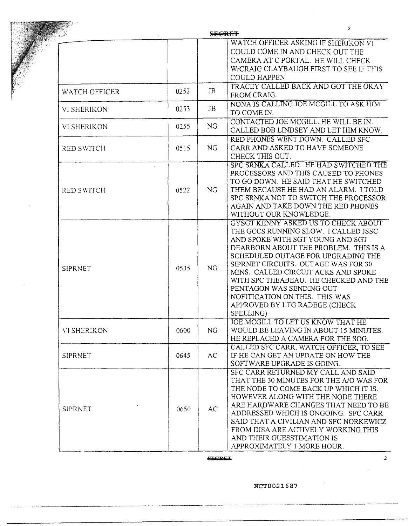|                    |      |                | $\overline{2}$<br><del>SECRET</del>                                                                                                                                                                                                                                                                                                                                                                                               |
|--------------------|------|----------------|-----------------------------------------------------------------------------------------------------------------------------------------------------------------------------------------------------------------------------------------------------------------------------------------------------------------------------------------------------------------------------------------------------------------------------------|
|                    |      |                | WATCH OFFICER ASKING IF SHERIKON VI<br>COULD COME IN AND CHECK OUT THE<br>CAMERA AT C PORTAL. HE WILL CHECK<br>W/CRAIG CLAYBAUGH FIRST TO SEE IF THIS<br>COULD HAPPEN.                                                                                                                                                                                                                                                            |
| WATCH OFFICER      | 0252 | <b>JB</b>      | TRACEY CALLED BACK AND GOT THE OKAY<br>FROM CRAIG.                                                                                                                                                                                                                                                                                                                                                                                |
| VI SHERIKON        | 0253 | JB             | NONA IS CALLING JOE MCGILL TO ASK HIM<br>TO COME IN.                                                                                                                                                                                                                                                                                                                                                                              |
| VI SHERIKON        | 0255 | NG             | CONTACTED JOE MCGILL. HE WILL BE IN.<br>CALLED BOB LINDSEY AND LET HIM KNOW.                                                                                                                                                                                                                                                                                                                                                      |
| RED SWITCH         | 0515 | <b>NG</b>      | RED PHONES WENT DOWN. CALLED SFC<br>CARR AND ASKED TO HAVE SOMEONE<br>CHECK THIS OUT.                                                                                                                                                                                                                                                                                                                                             |
| <b>RED SWITCH</b>  | 0522 | NG             | SPC SRNKA CALLED. HE HAD SWITCHED THE<br>PROCESSORS AND THIS CAUSED TO PHONES<br>TO GO DOWN. HE SAID THAT HE SWITCHED<br>THEM BECAUSE HE HAD AN ALARM. I TOLD<br>SPC SRNKA NOT TO SWITCH THE PROCESSOR<br>AGAIN AND TAKE DOWN THE RED PHONES<br>WITHOUT OUR KNOWLEDGE.                                                                                                                                                            |
| <b>SIPRNET</b>     | 0535 | <b>NG</b>      | GYSGT KENNY ASKED US TO CHECK ABOUT<br>THE GCCS RUNNING SLOW. I CALLED JSSC<br>AND SPOKE WITH SGT YOUNG AND SGT<br>DEARBORN ABOUT THE PROBLEM. THIS IS A<br>SCHEDULED OUTAGE FOR UPGRADING THE<br>SIPRNET CIRCUITS. OUTAGE WAS FOR 30<br>MINS. CALLED CIRCUIT ACKS AND SPOKE<br>WITH SPC THEABEAU. HE CHECKED AND THE<br>PENTAGON WAS SENDING OUT<br>NOFITICATION ON THIS. THIS WAS<br>APPROVED BY LTG RADEGE (CHECK<br>SPELLING) |
| <b>VI SHERIKON</b> | 0600 | N <sub>G</sub> | JOE MCGILL TO LET US KNOW THAT HE<br>WOULD BE LEAVING IN ABOUT 15 MINUTES.<br>HE REPLACED A CAMERA FOR THE SOG.                                                                                                                                                                                                                                                                                                                   |
| SIPRNET            | 0645 | AC             | CALLED SFC CARR, WATCH OFFICER, TO SEE<br>IF HE CAN GET AN UPDATE ON HOW THE<br>SOFTWARE UPGRADE IS GOING.                                                                                                                                                                                                                                                                                                                        |
| SIPRNET            | 0650 | AC             | SFC CARR RETURNED MY CALL AND SAID<br>THAT THE 30 MINUTES FOR THE A/O WAS FOR<br>THE NODE TO COME BACK UP WHICH IT IS.<br>HOWEVER ALONG WITH THE NODE THERE<br>ARE HARDWARE CHANGES THAT NEED TO BE<br>ADDRESSED WHICH IS ONGOING. SFC CARR<br>SAID THAT A CIVILIAN AND SFC NORKEWICZ<br>FROM DISA ARE ACTIVELY WORKING THIS<br>AND THEIR GUESSTIMATION IS<br>APPROXIMATELY 1 MORE HOUR.                                          |

rcerr

NCT0021687

2